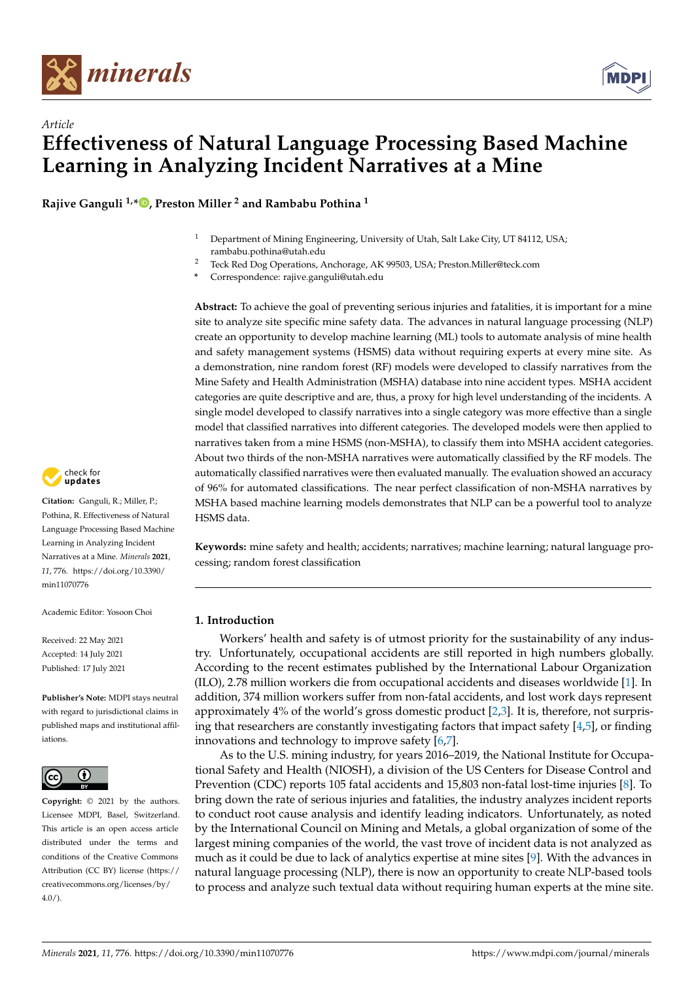



**Rajive Ganguli 1,[\\*](https://orcid.org/0000-0003-0614-9626) , Preston Miller <sup>2</sup> and Rambabu Pothina <sup>1</sup>**

- <sup>1</sup> Department of Mining Engineering, University of Utah, Salt Lake City, UT 84112, USA; rambabu.pothina@utah.edu
- <sup>2</sup> Teck Red Dog Operations, Anchorage, AK 99503, USA; Preston.Miller@teck.com
- **\*** Correspondence: rajive.ganguli@utah.edu

**Abstract:** To achieve the goal of preventing serious injuries and fatalities, it is important for a mine site to analyze site specific mine safety data. The advances in natural language processing (NLP) create an opportunity to develop machine learning (ML) tools to automate analysis of mine health and safety management systems (HSMS) data without requiring experts at every mine site. As a demonstration, nine random forest (RF) models were developed to classify narratives from the Mine Safety and Health Administration (MSHA) database into nine accident types. MSHA accident categories are quite descriptive and are, thus, a proxy for high level understanding of the incidents. A single model developed to classify narratives into a single category was more effective than a single model that classified narratives into different categories. The developed models were then applied to narratives taken from a mine HSMS (non-MSHA), to classify them into MSHA accident categories. About two thirds of the non-MSHA narratives were automatically classified by the RF models. The automatically classified narratives were then evaluated manually. The evaluation showed an accuracy of 96% for automated classifications. The near perfect classification of non-MSHA narratives by MSHA based machine learning models demonstrates that NLP can be a powerful tool to analyze HSMS data.

**Keywords:** mine safety and health; accidents; narratives; machine learning; natural language processing; random forest classification

## **1. Introduction**

Workers' health and safety is of utmost priority for the sustainability of any industry. Unfortunately, occupational accidents are still reported in high numbers globally. According to the recent estimates published by the International Labour Organization (ILO), 2.78 million workers die from occupational accidents and diseases worldwide [\[1\]](#page-11-0). In addition, 374 million workers suffer from non-fatal accidents, and lost work days represent approximately 4% of the world's gross domestic product [\[2](#page-11-1)[,3\]](#page-11-2). It is, therefore, not surprising that researchers are constantly investigating factors that impact safety [\[4,](#page-11-3)[5\]](#page-11-4), or finding innovations and technology to improve safety [\[6](#page-11-5)[,7\]](#page-11-6).

As to the U.S. mining industry, for years 2016–2019, the National Institute for Occupational Safety and Health (NIOSH), a division of the US Centers for Disease Control and Prevention (CDC) reports 105 fatal accidents and 15,803 non-fatal lost-time injuries [\[8\]](#page-11-7). To bring down the rate of serious injuries and fatalities, the industry analyzes incident reports to conduct root cause analysis and identify leading indicators. Unfortunately, as noted by the International Council on Mining and Metals, a global organization of some of the largest mining companies of the world, the vast trove of incident data is not analyzed as much as it could be due to lack of analytics expertise at mine sites [\[9\]](#page-11-8). With the advances in natural language processing (NLP), there is now an opportunity to create NLP-based tools to process and analyze such textual data without requiring human experts at the mine site.



**Citation:** Ganguli, R.; Miller, P.; Pothina, R. Effectiveness of Natural Language Processing Based Machine Learning in Analyzing Incident Narratives at a Mine. *Minerals* **2021**, *11*, 776. [https://doi.org/10.3390/](https://doi.org/10.3390/min11070776) [min11070776](https://doi.org/10.3390/min11070776)

Academic Editor: Yosoon Choi

Received: 22 May 2021 Accepted: 14 July 2021 Published: 17 July 2021

**Publisher's Note:** MDPI stays neutral with regard to jurisdictional claims in published maps and institutional affiliations.



**Copyright:** © 2021 by the authors. Licensee MDPI, Basel, Switzerland. This article is an open access article distributed under the terms and conditions of the Creative Commons Attribution (CC BY) license (https:/[/](https://creativecommons.org/licenses/by/4.0/) [creativecommons.org/licenses/by/](https://creativecommons.org/licenses/by/4.0/)  $4.0/$ ).

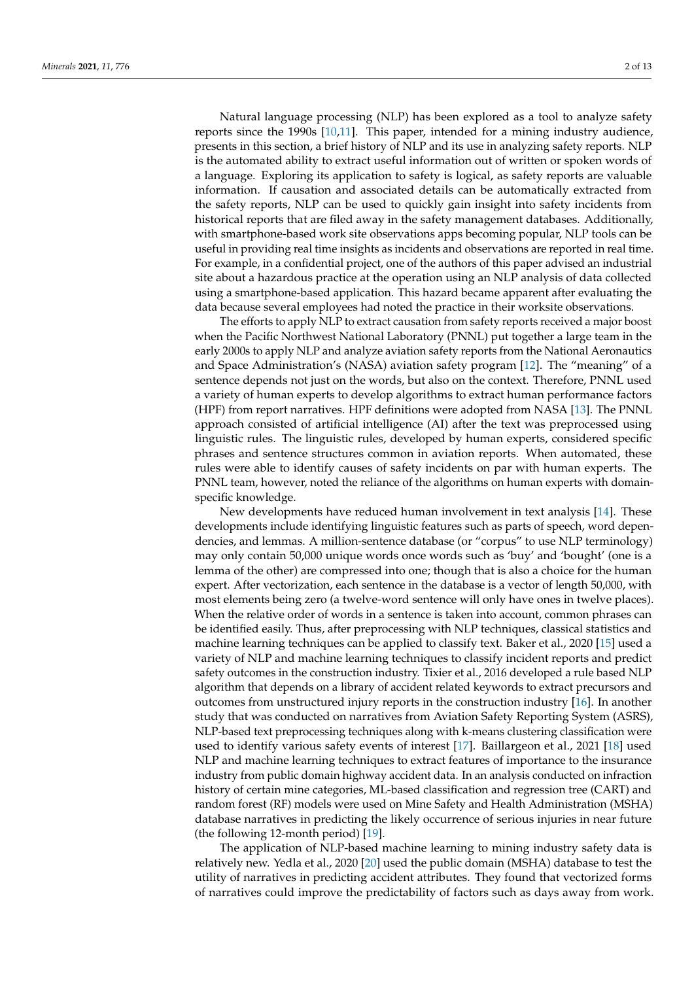Natural language processing (NLP) has been explored as a tool to analyze safety reports since the 1990s [\[10](#page-11-9)[,11\]](#page-11-10). This paper, intended for a mining industry audience, presents in this section, a brief history of NLP and its use in analyzing safety reports. NLP is the automated ability to extract useful information out of written or spoken words of a language. Exploring its application to safety is logical, as safety reports are valuable information. If causation and associated details can be automatically extracted from the safety reports, NLP can be used to quickly gain insight into safety incidents from historical reports that are filed away in the safety management databases. Additionally, with smartphone-based work site observations apps becoming popular, NLP tools can be useful in providing real time insights as incidents and observations are reported in real time. For example, in a confidential project, one of the authors of this paper advised an industrial site about a hazardous practice at the operation using an NLP analysis of data collected using a smartphone-based application. This hazard became apparent after evaluating the data because several employees had noted the practice in their worksite observations.

The efforts to apply NLP to extract causation from safety reports received a major boost when the Pacific Northwest National Laboratory (PNNL) put together a large team in the early 2000s to apply NLP and analyze aviation safety reports from the National Aeronautics and Space Administration's (NASA) aviation safety program [\[12\]](#page-11-11). The "meaning" of a sentence depends not just on the words, but also on the context. Therefore, PNNL used a variety of human experts to develop algorithms to extract human performance factors (HPF) from report narratives. HPF definitions were adopted from NASA [\[13\]](#page-11-12). The PNNL approach consisted of artificial intelligence (AI) after the text was preprocessed using linguistic rules. The linguistic rules, developed by human experts, considered specific phrases and sentence structures common in aviation reports. When automated, these rules were able to identify causes of safety incidents on par with human experts. The PNNL team, however, noted the reliance of the algorithms on human experts with domainspecific knowledge.

New developments have reduced human involvement in text analysis [\[14\]](#page-11-13). These developments include identifying linguistic features such as parts of speech, word dependencies, and lemmas. A million-sentence database (or "corpus" to use NLP terminology) may only contain 50,000 unique words once words such as 'buy' and 'bought' (one is a lemma of the other) are compressed into one; though that is also a choice for the human expert. After vectorization, each sentence in the database is a vector of length 50,000, with most elements being zero (a twelve-word sentence will only have ones in twelve places). When the relative order of words in a sentence is taken into account, common phrases can be identified easily. Thus, after preprocessing with NLP techniques, classical statistics and machine learning techniques can be applied to classify text. Baker et al., 2020 [\[15\]](#page-11-14) used a variety of NLP and machine learning techniques to classify incident reports and predict safety outcomes in the construction industry. Tixier et al., 2016 developed a rule based NLP algorithm that depends on a library of accident related keywords to extract precursors and outcomes from unstructured injury reports in the construction industry [\[16\]](#page-11-15). In another study that was conducted on narratives from Aviation Safety Reporting System (ASRS), NLP-based text preprocessing techniques along with k-means clustering classification were used to identify various safety events of interest [\[17\]](#page-11-16). Baillargeon et al., 2021 [\[18\]](#page-11-17) used NLP and machine learning techniques to extract features of importance to the insurance industry from public domain highway accident data. In an analysis conducted on infraction history of certain mine categories, ML-based classification and regression tree (CART) and random forest (RF) models were used on Mine Safety and Health Administration (MSHA) database narratives in predicting the likely occurrence of serious injuries in near future (the following 12-month period) [\[19\]](#page-11-18).

The application of NLP-based machine learning to mining industry safety data is relatively new. Yedla et al., 2020 [\[20\]](#page-11-19) used the public domain (MSHA) database to test the utility of narratives in predicting accident attributes. They found that vectorized forms of narratives could improve the predictability of factors such as days away from work.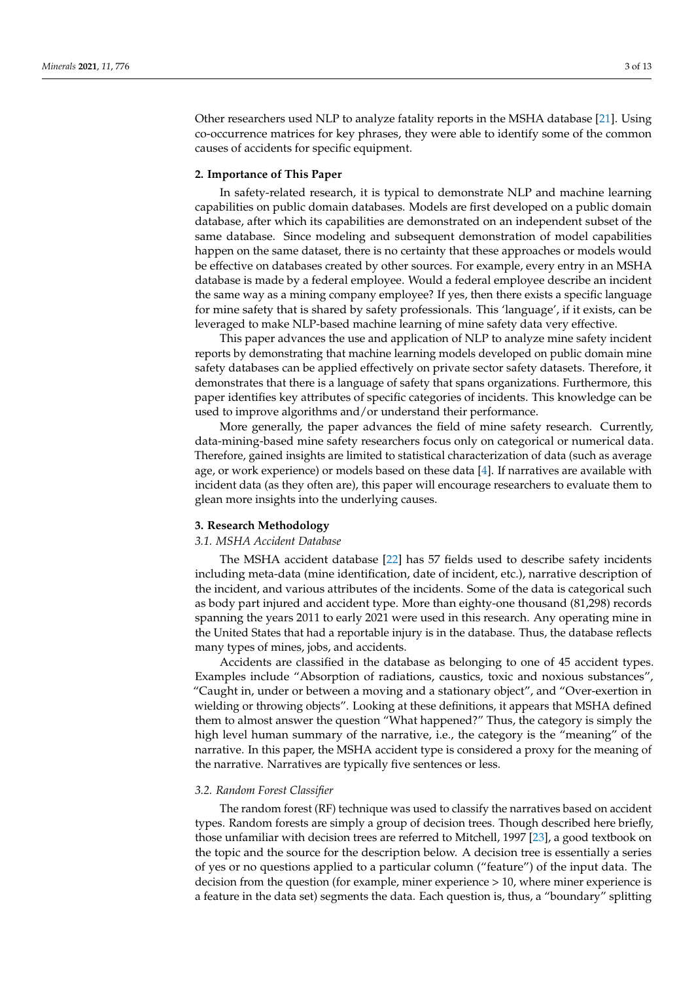Other researchers used NLP to analyze fatality reports in the MSHA database [\[21\]](#page-11-20). Using co-occurrence matrices for key phrases, they were able to identify some of the common causes of accidents for specific equipment.

#### **2. Importance of This Paper**

In safety-related research, it is typical to demonstrate NLP and machine learning capabilities on public domain databases. Models are first developed on a public domain database, after which its capabilities are demonstrated on an independent subset of the same database. Since modeling and subsequent demonstration of model capabilities happen on the same dataset, there is no certainty that these approaches or models would be effective on databases created by other sources. For example, every entry in an MSHA database is made by a federal employee. Would a federal employee describe an incident the same way as a mining company employee? If yes, then there exists a specific language for mine safety that is shared by safety professionals. This 'language', if it exists, can be leveraged to make NLP-based machine learning of mine safety data very effective.

This paper advances the use and application of NLP to analyze mine safety incident reports by demonstrating that machine learning models developed on public domain mine safety databases can be applied effectively on private sector safety datasets. Therefore, it demonstrates that there is a language of safety that spans organizations. Furthermore, this paper identifies key attributes of specific categories of incidents. This knowledge can be used to improve algorithms and/or understand their performance.

More generally, the paper advances the field of mine safety research. Currently, data-mining-based mine safety researchers focus only on categorical or numerical data. Therefore, gained insights are limited to statistical characterization of data (such as average age, or work experience) or models based on these data  $[4]$ . If narratives are available with incident data (as they often are), this paper will encourage researchers to evaluate them to glean more insights into the underlying causes.

#### **3. Research Methodology**

## *3.1. MSHA Accident Database*

The MSHA accident database [\[22\]](#page-11-21) has 57 fields used to describe safety incidents including meta-data (mine identification, date of incident, etc.), narrative description of the incident, and various attributes of the incidents. Some of the data is categorical such as body part injured and accident type. More than eighty-one thousand (81,298) records spanning the years 2011 to early 2021 were used in this research. Any operating mine in the United States that had a reportable injury is in the database. Thus, the database reflects many types of mines, jobs, and accidents.

Accidents are classified in the database as belonging to one of 45 accident types. Examples include "Absorption of radiations, caustics, toxic and noxious substances", "Caught in, under or between a moving and a stationary object", and "Over-exertion in wielding or throwing objects". Looking at these definitions, it appears that MSHA defined them to almost answer the question "What happened?" Thus, the category is simply the high level human summary of the narrative, i.e., the category is the "meaning" of the narrative. In this paper, the MSHA accident type is considered a proxy for the meaning of the narrative. Narratives are typically five sentences or less.

### *3.2. Random Forest Classifier*

The random forest (RF) technique was used to classify the narratives based on accident types. Random forests are simply a group of decision trees. Though described here briefly, those unfamiliar with decision trees are referred to Mitchell, 1997 [\[23\]](#page-11-22), a good textbook on the topic and the source for the description below. A decision tree is essentially a series of yes or no questions applied to a particular column ("feature") of the input data. The decision from the question (for example, miner experience > 10, where miner experience is a feature in the data set) segments the data. Each question is, thus, a "boundary" splitting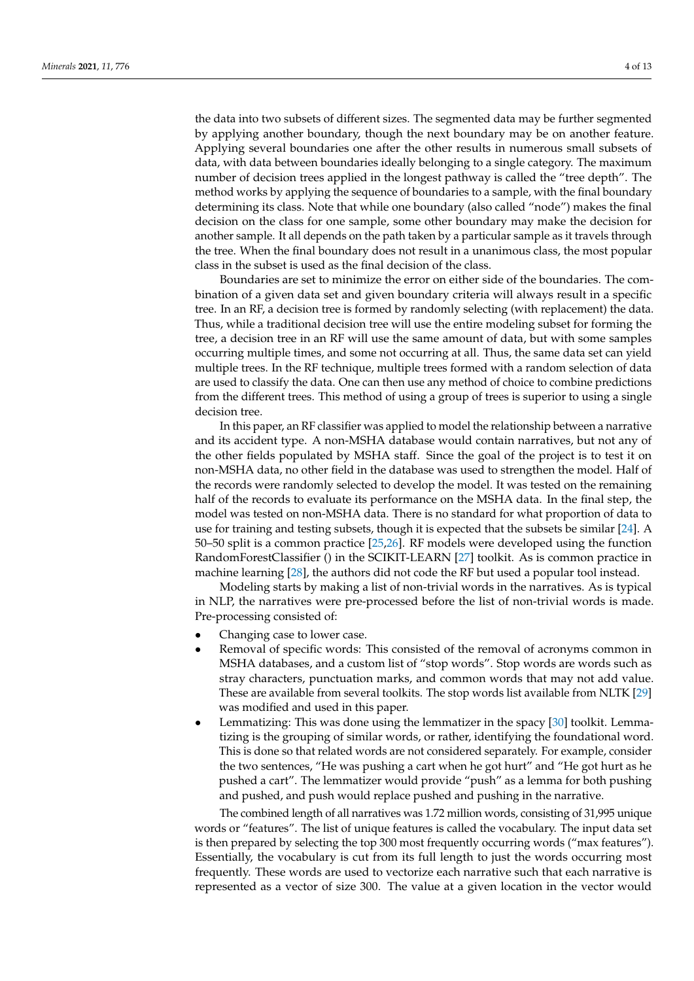the data into two subsets of different sizes. The segmented data may be further segmented by applying another boundary, though the next boundary may be on another feature. Applying several boundaries one after the other results in numerous small subsets of data, with data between boundaries ideally belonging to a single category. The maximum number of decision trees applied in the longest pathway is called the "tree depth". The method works by applying the sequence of boundaries to a sample, with the final boundary determining its class. Note that while one boundary (also called "node") makes the final decision on the class for one sample, some other boundary may make the decision for another sample. It all depends on the path taken by a particular sample as it travels through the tree. When the final boundary does not result in a unanimous class, the most popular class in the subset is used as the final decision of the class.

Boundaries are set to minimize the error on either side of the boundaries. The combination of a given data set and given boundary criteria will always result in a specific tree. In an RF, a decision tree is formed by randomly selecting (with replacement) the data. Thus, while a traditional decision tree will use the entire modeling subset for forming the tree, a decision tree in an RF will use the same amount of data, but with some samples occurring multiple times, and some not occurring at all. Thus, the same data set can yield multiple trees. In the RF technique, multiple trees formed with a random selection of data are used to classify the data. One can then use any method of choice to combine predictions from the different trees. This method of using a group of trees is superior to using a single decision tree.

In this paper, an RF classifier was applied to model the relationship between a narrative and its accident type. A non-MSHA database would contain narratives, but not any of the other fields populated by MSHA staff. Since the goal of the project is to test it on non-MSHA data, no other field in the database was used to strengthen the model. Half of the records were randomly selected to develop the model. It was tested on the remaining half of the records to evaluate its performance on the MSHA data. In the final step, the model was tested on non-MSHA data. There is no standard for what proportion of data to use for training and testing subsets, though it is expected that the subsets be similar [\[24\]](#page-12-0). A 50–50 split is a common practice [\[25,](#page-12-1)[26\]](#page-12-2). RF models were developed using the function RandomForestClassifier () in the SCIKIT-LEARN [\[27\]](#page-12-3) toolkit. As is common practice in machine learning [\[28\]](#page-12-4), the authors did not code the RF but used a popular tool instead.

Modeling starts by making a list of non-trivial words in the narratives. As is typical in NLP, the narratives were pre-processed before the list of non-trivial words is made. Pre-processing consisted of:

- Changing case to lower case.
- Removal of specific words: This consisted of the removal of acronyms common in MSHA databases, and a custom list of "stop words". Stop words are words such as stray characters, punctuation marks, and common words that may not add value. These are available from several toolkits. The stop words list available from NLTK [\[29\]](#page-12-5) was modified and used in this paper.
- Lemmatizing: This was done using the lemmatizer in the spacy [\[30\]](#page-12-6) toolkit. Lemmatizing is the grouping of similar words, or rather, identifying the foundational word. This is done so that related words are not considered separately. For example, consider the two sentences, "He was pushing a cart when he got hurt" and "He got hurt as he pushed a cart". The lemmatizer would provide "push" as a lemma for both pushing and pushed, and push would replace pushed and pushing in the narrative.

The combined length of all narratives was 1.72 million words, consisting of 31,995 unique words or "features". The list of unique features is called the vocabulary. The input data set is then prepared by selecting the top 300 most frequently occurring words ("max features"). Essentially, the vocabulary is cut from its full length to just the words occurring most frequently. These words are used to vectorize each narrative such that each narrative is represented as a vector of size 300. The value at a given location in the vector would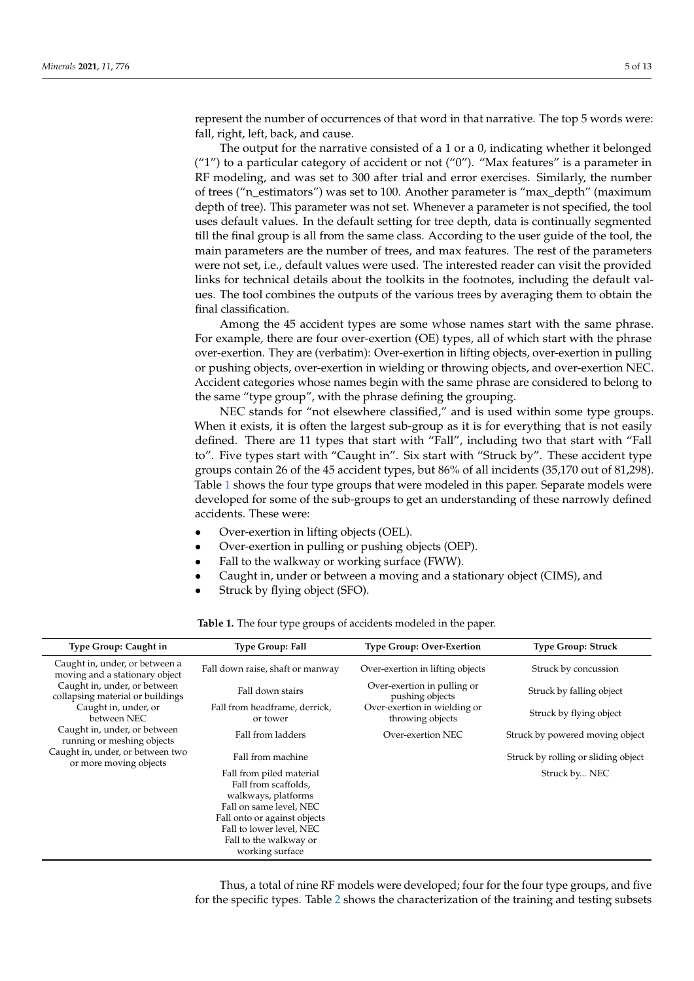represent the number of occurrences of that word in that narrative. The top 5 words were: fall, right, left, back, and cause.

The output for the narrative consisted of a 1 or a 0, indicating whether it belonged ("1") to a particular category of accident or not ("0"). "Max features" is a parameter in RF modeling, and was set to 300 after trial and error exercises. Similarly, the number of trees ("n\_estimators") was set to 100. Another parameter is "max\_depth" (maximum depth of tree). This parameter was not set. Whenever a parameter is not specified, the tool uses default values. In the default setting for tree depth, data is continually segmented till the final group is all from the same class. According to the user guide of the tool, the main parameters are the number of trees, and max features. The rest of the parameters were not set, i.e., default values were used. The interested reader can visit the provided links for technical details about the toolkits in the footnotes, including the default values. The tool combines the outputs of the various trees by averaging them to obtain the final classification.

Among the 45 accident types are some whose names start with the same phrase. For example, there are four over-exertion (OE) types, all of which start with the phrase over-exertion. They are (verbatim): Over-exertion in lifting objects, over-exertion in pulling or pushing objects, over-exertion in wielding or throwing objects, and over-exertion NEC. Accident categories whose names begin with the same phrase are considered to belong to the same "type group", with the phrase defining the grouping.

NEC stands for "not elsewhere classified," and is used within some type groups. When it exists, it is often the largest sub-group as it is for everything that is not easily defined. There are 11 types that start with "Fall", including two that start with "Fall to". Five types start with "Caught in". Six start with "Struck by". These accident type groups contain 26 of the 45 accident types, but 86% of all incidents (35,170 out of 81,298). Table [1](#page-4-0) shows the four type groups that were modeled in this paper. Separate models were developed for some of the sub-groups to get an understanding of these narrowly defined accidents. These were:

- Over-exertion in lifting objects (OEL).
- Over-exertion in pulling or pushing objects (OEP).
- Fall to the walkway or working surface (FWW).
- Caught in, under or between a moving and a stationary object (CIMS), and
- Struck by flying object (SFO).

<span id="page-4-0"></span>

| Type Group: Caught in                                            | <b>Type Group: Fall</b>                                                                                                                                                                                     | <b>Type Group: Over-Exertion</b>                 | <b>Type Group: Struck</b>           |
|------------------------------------------------------------------|-------------------------------------------------------------------------------------------------------------------------------------------------------------------------------------------------------------|--------------------------------------------------|-------------------------------------|
| Caught in, under, or between a<br>moving and a stationary object | Fall down raise, shaft or manway                                                                                                                                                                            | Over-exertion in lifting objects                 | Struck by concussion                |
| Caught in, under, or between<br>collapsing material or buildings | Fall down stairs                                                                                                                                                                                            | Over-exertion in pulling or<br>pushing objects   | Struck by falling object            |
| Caught in, under, or<br>between NEC                              | Fall from headframe, derrick,<br>or tower                                                                                                                                                                   | Over-exertion in wielding or<br>throwing objects | Struck by flying object             |
| Caught in, under, or between<br>running or meshing objects       | Fall from ladders                                                                                                                                                                                           | Over-exertion NEC                                | Struck by powered moving object     |
| Caught in, under, or between two<br>or more moving objects       | Fall from machine                                                                                                                                                                                           |                                                  | Struck by rolling or sliding object |
|                                                                  | Fall from piled material<br>Fall from scaffolds,<br>walkways, platforms<br>Fall on same level, NEC<br>Fall onto or against objects<br>Fall to lower level, NEC<br>Fall to the walkway or<br>working surface |                                                  | Struck by NEC                       |

**Table 1.** The four type groups of accidents modeled in the paper.

Thus, a total of nine RF models were developed; four for the four type groups, and five for the specific types. Table [2](#page-5-0) shows the characterization of the training and testing subsets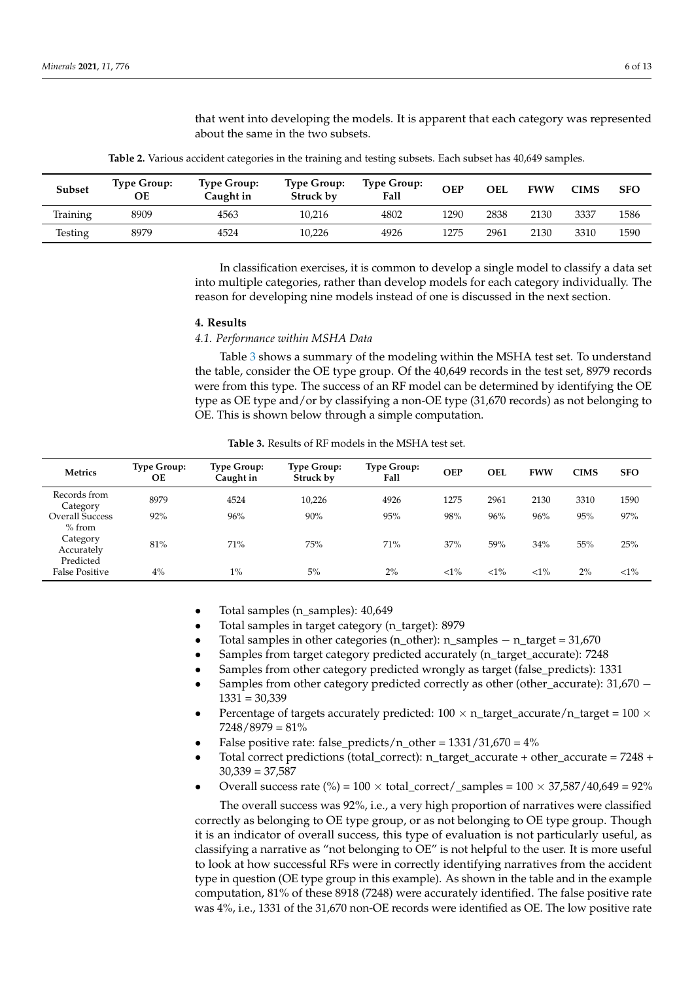that went into developing the models. It is apparent that each category was represented about the same in the two subsets.

<span id="page-5-0"></span>

| Subset   | <b>Type Group:</b><br>ОE | <b>Type Group:</b><br>Caught in | <b>Type Group:</b><br>Struck by | <b>Type Group:</b><br>Fall | <b>OEP</b> | <b>OEL</b> | <b>FWW</b> | <b>CIMS</b> | <b>SFO</b> |
|----------|--------------------------|---------------------------------|---------------------------------|----------------------------|------------|------------|------------|-------------|------------|
| Training | 8909                     | 4563                            | 10.216                          | 4802                       | 1290       | 2838       | 2130       | 3337        | 1586       |
| Testing  | 8979                     | 4524                            | 10,226                          | 4926                       | 1275       | 2961       | 2130       | 3310        | 1590       |

**Table 2.** Various accident categories in the training and testing subsets. Each subset has 40,649 samples.

In classification exercises, it is common to develop a single model to classify a data set into multiple categories, rather than develop models for each category individually. The reason for developing nine models instead of one is discussed in the next section.

#### **4. Results**

#### *4.1. Performance within MSHA Data*

Table [3](#page-5-1) shows a summary of the modeling within the MSHA test set. To understand the table, consider the OE type group. Of the 40,649 records in the test set, 8979 records were from this type. The success of an RF model can be determined by identifying the OE type as OE type and/or by classifying a non-OE type (31,670 records) as not belonging to OE. This is shown below through a simple computation.

<span id="page-5-1"></span>

| <b>Metrics</b>                                | <b>Type Group:</b><br><b>OE</b> | <b>Type Group:</b><br>Caught in | <b>Type Group:</b><br>Struck by | <b>Type Group:</b><br>Fall | <b>OEP</b> | OEL    | <b>FWW</b> | <b>CIMS</b> | <b>SFO</b> |
|-----------------------------------------------|---------------------------------|---------------------------------|---------------------------------|----------------------------|------------|--------|------------|-------------|------------|
| Records from<br>Category                      | 8979                            | 4524                            | 10,226                          | 4926                       | 1275       | 2961   | 2130       | 3310        | 1590       |
| <b>Overall Success</b>                        | 92%                             | 96%                             | 90%                             | 95%                        | 98%        | 96%    | 96%        | 95%         | 97%        |
| % from<br>Category<br>Accurately<br>Predicted | 81%                             | 71%                             | 75%                             | 71%                        | 37%        | 59%    | 34%        | 55%         | 25%        |
| <b>False Positive</b>                         | $4\%$                           | $1\%$                           | 5%                              | 2%                         | ${<}1\%$   | $<1\%$ | ${<}1\%$   | 2%          | $<1\%$     |

**Table 3.** Results of RF models in the MSHA test set.

- Total samples (n\_samples): 40,649
- Total samples in target category (n\_target): 8979
- Total samples in other categories (n\_other): n\_samples  $-$  n\_target = 31,670
- Samples from target category predicted accurately (n\_target\_accurate): 7248
- Samples from other category predicted wrongly as target (false\_predicts): 1331
- Samples from other category predicted correctly as other (other accurate):  $31,670 1331 = 30,339$
- Percentage of targets accurately predicted:  $100 \times n$ \_target\_accurate/n\_target =  $100 \times$  $7248/8979 = 81\%$
- False positive rate: false\_predicts/n\_other = 1331/31,670 = 4%
- Total correct predictions (total\_correct): n\_target\_accurate + other\_accurate = 7248 +  $30,339 = 37,587$
- Overall success rate (%) =  $100 \times$  total\_correct/\_samples =  $100 \times 37,587/40,649 = 92\%$

The overall success was 92%, i.e., a very high proportion of narratives were classified correctly as belonging to OE type group, or as not belonging to OE type group. Though it is an indicator of overall success, this type of evaluation is not particularly useful, as classifying a narrative as "not belonging to OE" is not helpful to the user. It is more useful to look at how successful RFs were in correctly identifying narratives from the accident type in question (OE type group in this example). As shown in the table and in the example computation, 81% of these 8918 (7248) were accurately identified. The false positive rate was 4%, i.e., 1331 of the 31,670 non-OE records were identified as OE. The low positive rate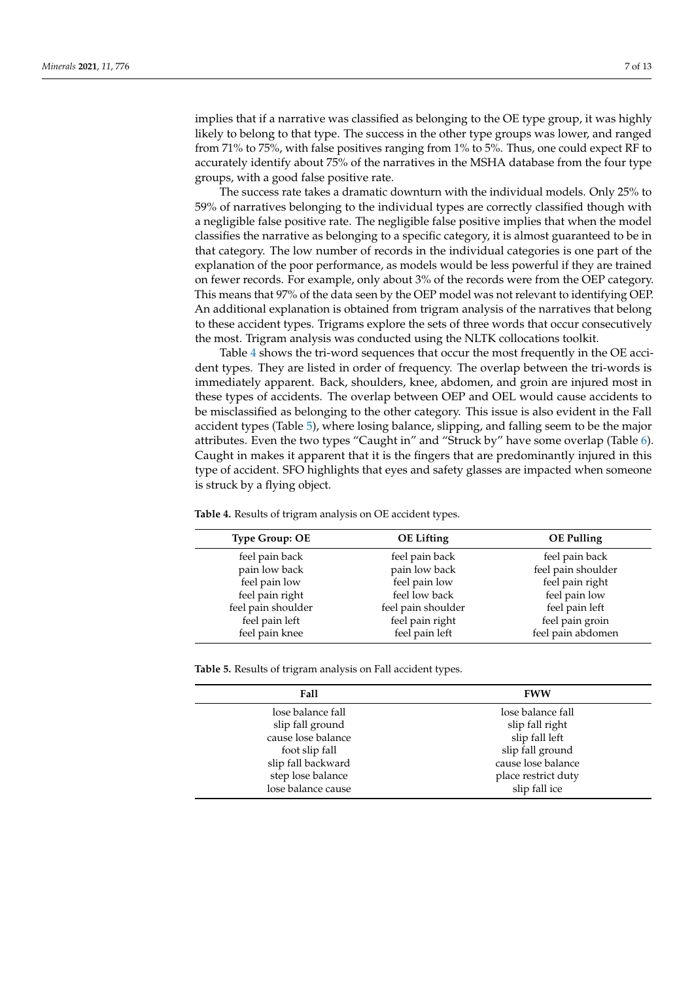implies that if a narrative was classified as belonging to the OE type group, it was highly likely to belong to that type. The success in the other type groups was lower, and ranged from 71% to 75%, with false positives ranging from 1% to 5%. Thus, one could expect RF to accurately identify about 75% of the narratives in the MSHA database from the four type groups, with a good false positive rate.

The success rate takes a dramatic downturn with the individual models. Only 25% to 59% of narratives belonging to the individual types are correctly classified though with a negligible false positive rate. The negligible false positive implies that when the model classifies the narrative as belonging to a specific category, it is almost guaranteed to be in that category. The low number of records in the individual categories is one part of the explanation of the poor performance, as models would be less powerful if they are trained on fewer records. For example, only about 3% of the records were from the OEP category. This means that 97% of the data seen by the OEP model was not relevant to identifying OEP. An additional explanation is obtained from trigram analysis of the narratives that belong to these accident types. Trigrams explore the sets of three words that occur consecutively the most. Trigram analysis was conducted using the NLTK collocations toolkit.

Table [4](#page-6-0) shows the tri-word sequences that occur the most frequently in the OE accident types. They are listed in order of frequency. The overlap between the tri-words is immediately apparent. Back, shoulders, knee, abdomen, and groin are injured most in these types of accidents. The overlap between OEP and OEL would cause accidents to be misclassified as belonging to the other category. This issue is also evident in the Fall accident types (Table [5\)](#page-6-1), where losing balance, slipping, and falling seem to be the major attributes. Even the two types "Caught in" and "Struck by" have some overlap (Table [6\)](#page-7-0). Caught in makes it apparent that it is the fingers that are predominantly injured in this type of accident. SFO highlights that eyes and safety glasses are impacted when someone is struck by a flying object.

| <b>Type Group: OE</b> | <b>OE</b> Lifting  | <b>OE</b> Pulling  |
|-----------------------|--------------------|--------------------|
| feel pain back        | feel pain back     | feel pain back     |
| pain low back         | pain low back      | feel pain shoulder |
| feel pain low         | feel pain low      | feel pain right    |
| feel pain right       | feel low back      | feel pain low      |
| feel pain shoulder    | feel pain shoulder | feel pain left     |
| feel pain left        | feel pain right    | feel pain groin    |
| feel pain knee        | feel pain left     | feel pain abdomen  |

<span id="page-6-0"></span>**Table 4.** Results of trigram analysis on OE accident types.

<span id="page-6-1"></span>**Table 5.** Results of trigram analysis on Fall accident types.

| <b>Fall</b>        | <b>FWW</b>          |
|--------------------|---------------------|
| lose balance fall  | lose balance fall   |
| slip fall ground   | slip fall right     |
| cause lose balance | slip fall left      |
| foot slip fall     | slip fall ground    |
| slip fall backward | cause lose balance  |
| step lose balance  | place restrict duty |
| lose balance cause | slip fall ice       |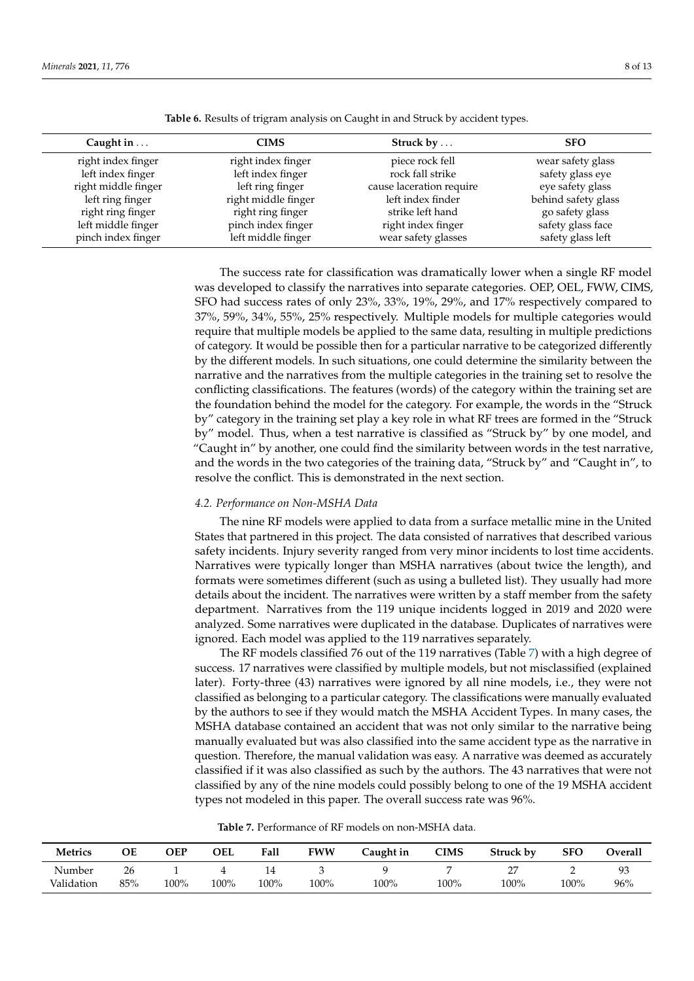<span id="page-7-0"></span>

| Caught in $\dots$                       | CIMS                                    | Struck by $\dots$                   | <b>SFO</b>                            |
|-----------------------------------------|-----------------------------------------|-------------------------------------|---------------------------------------|
| right index finger<br>left index finger | right index finger<br>left index finger | piece rock fell<br>rock fall strike | wear safety glass<br>safety glass eye |
| right middle finger                     | left ring finger                        | cause laceration require            | eye safety glass                      |
| left ring finger                        | right middle finger                     | left index finder                   | behind safety glass                   |
| right ring finger                       | right ring finger                       | strike left hand                    | go safety glass                       |
| left middle finger                      | pinch index finger                      | right index finger                  | safety glass face                     |
| pinch index finger                      | left middle finger                      | wear safety glasses                 | safety glass left                     |

**Table 6.** Results of trigram analysis on Caught in and Struck by accident types.

The success rate for classification was dramatically lower when a single RF model was developed to classify the narratives into separate categories. OEP, OEL, FWW, CIMS, SFO had success rates of only 23%, 33%, 19%, 29%, and 17% respectively compared to 37%, 59%, 34%, 55%, 25% respectively. Multiple models for multiple categories would require that multiple models be applied to the same data, resulting in multiple predictions of category. It would be possible then for a particular narrative to be categorized differently by the different models. In such situations, one could determine the similarity between the narrative and the narratives from the multiple categories in the training set to resolve the conflicting classifications. The features (words) of the category within the training set are the foundation behind the model for the category. For example, the words in the "Struck by" category in the training set play a key role in what RF trees are formed in the "Struck by" model. Thus, when a test narrative is classified as "Struck by" by one model, and "Caught in" by another, one could find the similarity between words in the test narrative, and the words in the two categories of the training data, "Struck by" and "Caught in", to resolve the conflict. This is demonstrated in the next section.

# *4.2. Performance on Non-MSHA Data*

The nine RF models were applied to data from a surface metallic mine in the United States that partnered in this project. The data consisted of narratives that described various safety incidents. Injury severity ranged from very minor incidents to lost time accidents. Narratives were typically longer than MSHA narratives (about twice the length), and formats were sometimes different (such as using a bulleted list). They usually had more details about the incident. The narratives were written by a staff member from the safety department. Narratives from the 119 unique incidents logged in 2019 and 2020 were analyzed. Some narratives were duplicated in the database. Duplicates of narratives were ignored. Each model was applied to the 119 narratives separately.

The RF models classified 76 out of the 119 narratives (Table [7\)](#page-7-1) with a high degree of success. 17 narratives were classified by multiple models, but not misclassified (explained later). Forty-three (43) narratives were ignored by all nine models, i.e., they were not classified as belonging to a particular category. The classifications were manually evaluated by the authors to see if they would match the MSHA Accident Types. In many cases, the MSHA database contained an accident that was not only similar to the narrative being manually evaluated but was also classified into the same accident type as the narrative in question. Therefore, the manual validation was easy. A narrative was deemed as accurately classified if it was also classified as such by the authors. The 43 narratives that were not classified by any of the nine models could possibly belong to one of the 19 MSHA accident types not modeled in this paper. The overall success rate was 96%.

| <b>Table 7.</b> Performance of RF models on non-MSHA data. |
|------------------------------------------------------------|
|------------------------------------------------------------|

<span id="page-7-1"></span>

| <b>Metrics</b> | ОE  | ЭEP  | OEL  | Fall | FWW  | Caught in | CIMS | Struck by | SFO  | <b>Dverall</b> |
|----------------|-----|------|------|------|------|-----------|------|-----------|------|----------------|
| Number         | 26  |      |      | 14   |      |           |      |           | -    |                |
| Validation     | 85% | 100% | 100% | 100% | 100% | 100%      | 100% | 100%      | 100% | $96\%$         |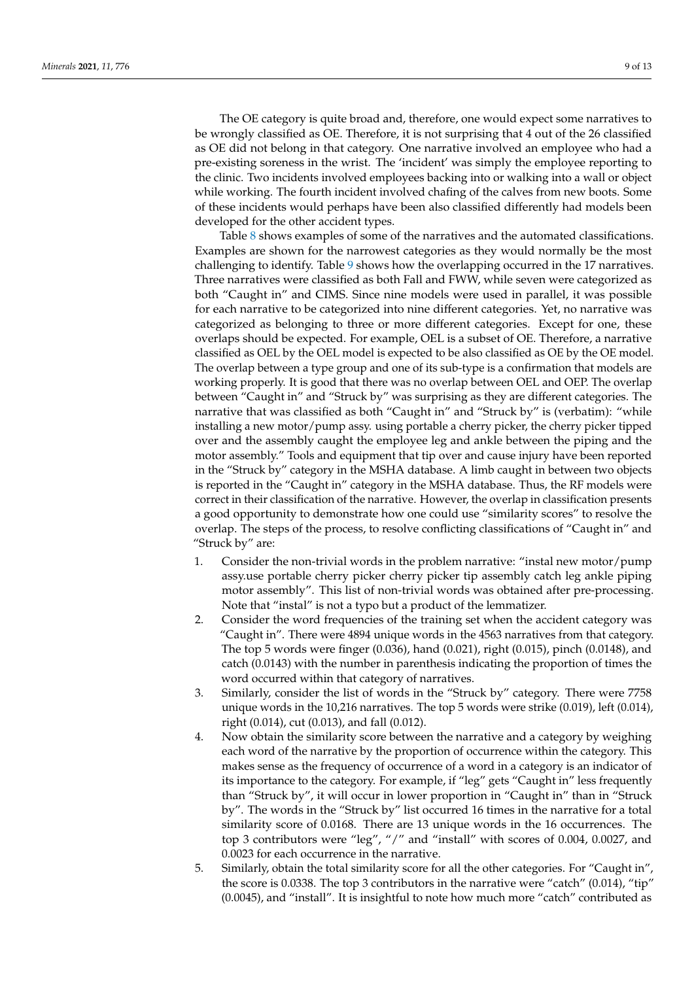The OE category is quite broad and, therefore, one would expect some narratives to be wrongly classified as OE. Therefore, it is not surprising that 4 out of the 26 classified as OE did not belong in that category. One narrative involved an employee who had a pre-existing soreness in the wrist. The 'incident' was simply the employee reporting to the clinic. Two incidents involved employees backing into or walking into a wall or object while working. The fourth incident involved chafing of the calves from new boots. Some of these incidents would perhaps have been also classified differently had models been developed for the other accident types.

Table [8](#page-9-0) shows examples of some of the narratives and the automated classifications. Examples are shown for the narrowest categories as they would normally be the most challenging to identify. Table [9](#page-9-1) shows how the overlapping occurred in the 17 narratives. Three narratives were classified as both Fall and FWW, while seven were categorized as both "Caught in" and CIMS. Since nine models were used in parallel, it was possible for each narrative to be categorized into nine different categories. Yet, no narrative was categorized as belonging to three or more different categories. Except for one, these overlaps should be expected. For example, OEL is a subset of OE. Therefore, a narrative classified as OEL by the OEL model is expected to be also classified as OE by the OE model. The overlap between a type group and one of its sub-type is a confirmation that models are working properly. It is good that there was no overlap between OEL and OEP. The overlap between "Caught in" and "Struck by" was surprising as they are different categories. The narrative that was classified as both "Caught in" and "Struck by" is (verbatim): "while installing a new motor/pump assy. using portable a cherry picker, the cherry picker tipped over and the assembly caught the employee leg and ankle between the piping and the motor assembly." Tools and equipment that tip over and cause injury have been reported in the "Struck by" category in the MSHA database. A limb caught in between two objects is reported in the "Caught in" category in the MSHA database. Thus, the RF models were correct in their classification of the narrative. However, the overlap in classification presents a good opportunity to demonstrate how one could use "similarity scores" to resolve the overlap. The steps of the process, to resolve conflicting classifications of "Caught in" and "Struck by" are:

- 1. Consider the non-trivial words in the problem narrative: "instal new motor/pump assy.use portable cherry picker cherry picker tip assembly catch leg ankle piping motor assembly". This list of non-trivial words was obtained after pre-processing. Note that "instal" is not a typo but a product of the lemmatizer.
- 2. Consider the word frequencies of the training set when the accident category was "Caught in". There were 4894 unique words in the 4563 narratives from that category. The top 5 words were finger (0.036), hand (0.021), right (0.015), pinch (0.0148), and catch (0.0143) with the number in parenthesis indicating the proportion of times the word occurred within that category of narratives.
- 3. Similarly, consider the list of words in the "Struck by" category. There were 7758 unique words in the 10,216 narratives. The top 5 words were strike (0.019), left (0.014), right (0.014), cut (0.013), and fall (0.012).
- 4. Now obtain the similarity score between the narrative and a category by weighing each word of the narrative by the proportion of occurrence within the category. This makes sense as the frequency of occurrence of a word in a category is an indicator of its importance to the category. For example, if "leg" gets "Caught in" less frequently than "Struck by", it will occur in lower proportion in "Caught in" than in "Struck by". The words in the "Struck by" list occurred 16 times in the narrative for a total similarity score of 0.0168. There are 13 unique words in the 16 occurrences. The top 3 contributors were "leg", "/" and "install" with scores of 0.004, 0.0027, and 0.0023 for each occurrence in the narrative.
- 5. Similarly, obtain the total similarity score for all the other categories. For "Caught in", the score is 0.0338. The top 3 contributors in the narrative were "catch" (0.014), "tip" (0.0045), and "install". It is insightful to note how much more "catch" contributed as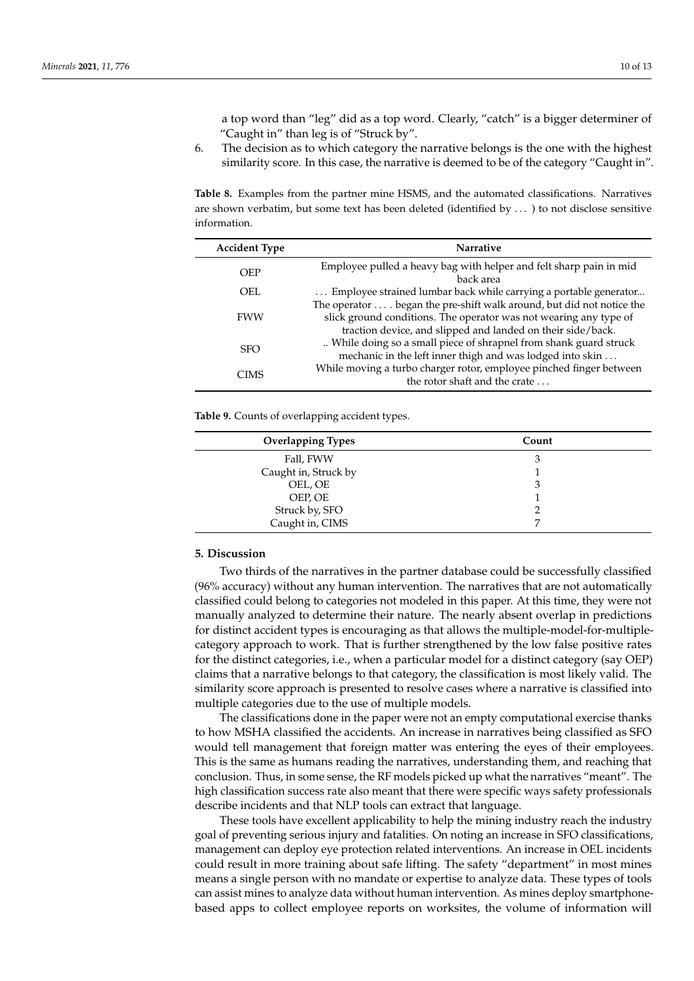a top word than "leg" did as a top word. Clearly, "catch" is a bigger determiner of "Caught in" than leg is of "Struck by".

6. The decision as to which category the narrative belongs is the one with the highest similarity score. In this case, the narrative is deemed to be of the category "Caught in".

<span id="page-9-0"></span>**Table 8.** Examples from the partner mine HSMS, and the automated classifications. Narratives are shown verbatim, but some text has been deleted (identified by . . . ) to not disclose sensitive information.

| <b>Accident Type</b> | <b>Narrative</b>                                                                                                                                                                                            |
|----------------------|-------------------------------------------------------------------------------------------------------------------------------------------------------------------------------------------------------------|
| <b>OEP</b>           | Employee pulled a heavy bag with helper and felt sharp pain in mid<br>back area                                                                                                                             |
| OEL                  | Employee strained lumbar back while carrying a portable generator                                                                                                                                           |
| <b>FWW</b>           | The operator  . began the pre-shift walk around, but did not notice the<br>slick ground conditions. The operator was not wearing any type of<br>traction device, and slipped and landed on their side/back. |
| <b>SFO</b>           | While doing so a small piece of shrapnel from shank guard struck<br>mechanic in the left inner thigh and was lodged into skin                                                                               |
| <b>CIMS</b>          | While moving a turbo charger rotor, employee pinched finger between<br>the rotor shaft and the crate                                                                                                        |

<span id="page-9-1"></span>**Table 9.** Counts of overlapping accident types.

| <b>Overlapping Types</b> | Count |
|--------------------------|-------|
| Fall, FWW                | З     |
| Caught in, Struck by     |       |
| OEL, OE                  | 3     |
| OEP, OE                  |       |
| Struck by, SFO           |       |
| Caught in, CIMS          | ⇁     |

# **5. Discussion**

Two thirds of the narratives in the partner database could be successfully classified (96% accuracy) without any human intervention. The narratives that are not automatically classified could belong to categories not modeled in this paper. At this time, they were not manually analyzed to determine their nature. The nearly absent overlap in predictions for distinct accident types is encouraging as that allows the multiple-model-for-multiplecategory approach to work. That is further strengthened by the low false positive rates for the distinct categories, i.e., when a particular model for a distinct category (say OEP) claims that a narrative belongs to that category, the classification is most likely valid. The similarity score approach is presented to resolve cases where a narrative is classified into multiple categories due to the use of multiple models.

The classifications done in the paper were not an empty computational exercise thanks to how MSHA classified the accidents. An increase in narratives being classified as SFO would tell management that foreign matter was entering the eyes of their employees. This is the same as humans reading the narratives, understanding them, and reaching that conclusion. Thus, in some sense, the RF models picked up what the narratives "meant". The high classification success rate also meant that there were specific ways safety professionals describe incidents and that NLP tools can extract that language.

These tools have excellent applicability to help the mining industry reach the industry goal of preventing serious injury and fatalities. On noting an increase in SFO classifications, management can deploy eye protection related interventions. An increase in OEL incidents could result in more training about safe lifting. The safety "department" in most mines means a single person with no mandate or expertise to analyze data. These types of tools can assist mines to analyze data without human intervention. As mines deploy smartphonebased apps to collect employee reports on worksites, the volume of information will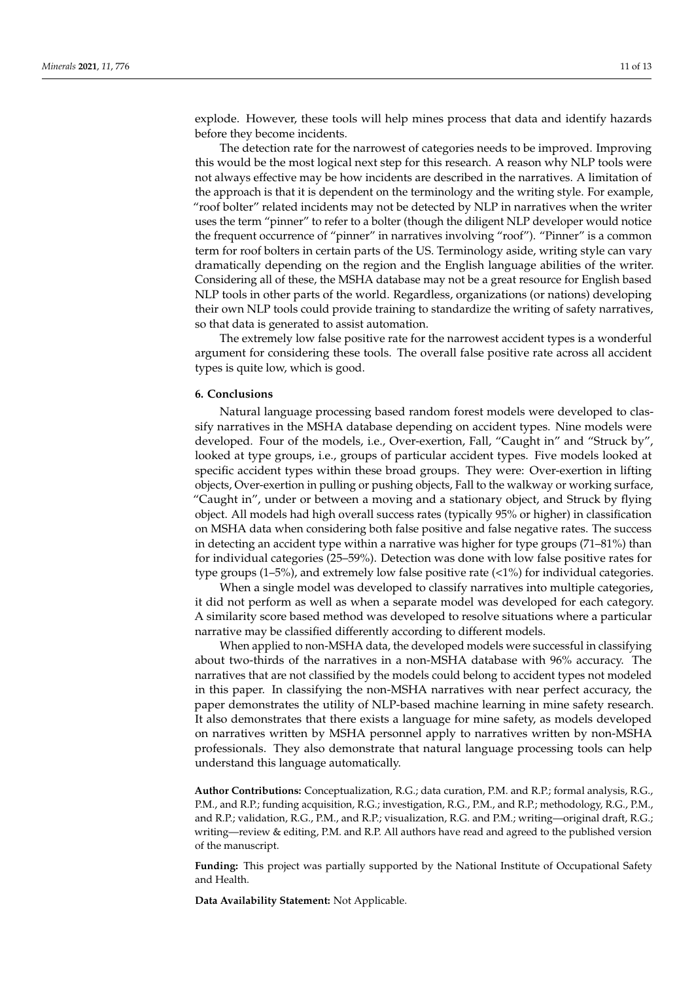explode. However, these tools will help mines process that data and identify hazards before they become incidents.

The detection rate for the narrowest of categories needs to be improved. Improving this would be the most logical next step for this research. A reason why NLP tools were not always effective may be how incidents are described in the narratives. A limitation of the approach is that it is dependent on the terminology and the writing style. For example, "roof bolter" related incidents may not be detected by NLP in narratives when the writer uses the term "pinner" to refer to a bolter (though the diligent NLP developer would notice the frequent occurrence of "pinner" in narratives involving "roof"). "Pinner" is a common term for roof bolters in certain parts of the US. Terminology aside, writing style can vary dramatically depending on the region and the English language abilities of the writer. Considering all of these, the MSHA database may not be a great resource for English based NLP tools in other parts of the world. Regardless, organizations (or nations) developing their own NLP tools could provide training to standardize the writing of safety narratives, so that data is generated to assist automation.

The extremely low false positive rate for the narrowest accident types is a wonderful argument for considering these tools. The overall false positive rate across all accident types is quite low, which is good.

#### **6. Conclusions**

Natural language processing based random forest models were developed to classify narratives in the MSHA database depending on accident types. Nine models were developed. Four of the models, i.e., Over-exertion, Fall, "Caught in" and "Struck by", looked at type groups, i.e., groups of particular accident types. Five models looked at specific accident types within these broad groups. They were: Over-exertion in lifting objects, Over-exertion in pulling or pushing objects, Fall to the walkway or working surface, "Caught in", under or between a moving and a stationary object, and Struck by flying object. All models had high overall success rates (typically 95% or higher) in classification on MSHA data when considering both false positive and false negative rates. The success in detecting an accident type within a narrative was higher for type groups (71–81%) than for individual categories (25–59%). Detection was done with low false positive rates for type groups  $(1-5\%)$ , and extremely low false positive rate  $\left\langle \langle 1\% \rangle \right\rangle$  for individual categories.

When a single model was developed to classify narratives into multiple categories, it did not perform as well as when a separate model was developed for each category. A similarity score based method was developed to resolve situations where a particular narrative may be classified differently according to different models.

When applied to non-MSHA data, the developed models were successful in classifying about two-thirds of the narratives in a non-MSHA database with 96% accuracy. The narratives that are not classified by the models could belong to accident types not modeled in this paper. In classifying the non-MSHA narratives with near perfect accuracy, the paper demonstrates the utility of NLP-based machine learning in mine safety research. It also demonstrates that there exists a language for mine safety, as models developed on narratives written by MSHA personnel apply to narratives written by non-MSHA professionals. They also demonstrate that natural language processing tools can help understand this language automatically.

**Author Contributions:** Conceptualization, R.G.; data curation, P.M. and R.P.; formal analysis, R.G., P.M., and R.P.; funding acquisition, R.G.; investigation, R.G., P.M., and R.P.; methodology, R.G., P.M., and R.P.; validation, R.G., P.M., and R.P.; visualization, R.G. and P.M.; writing—original draft, R.G.; writing—review & editing, P.M. and R.P. All authors have read and agreed to the published version of the manuscript.

**Funding:** This project was partially supported by the National Institute of Occupational Safety and Health.

**Data Availability Statement:** Not Applicable.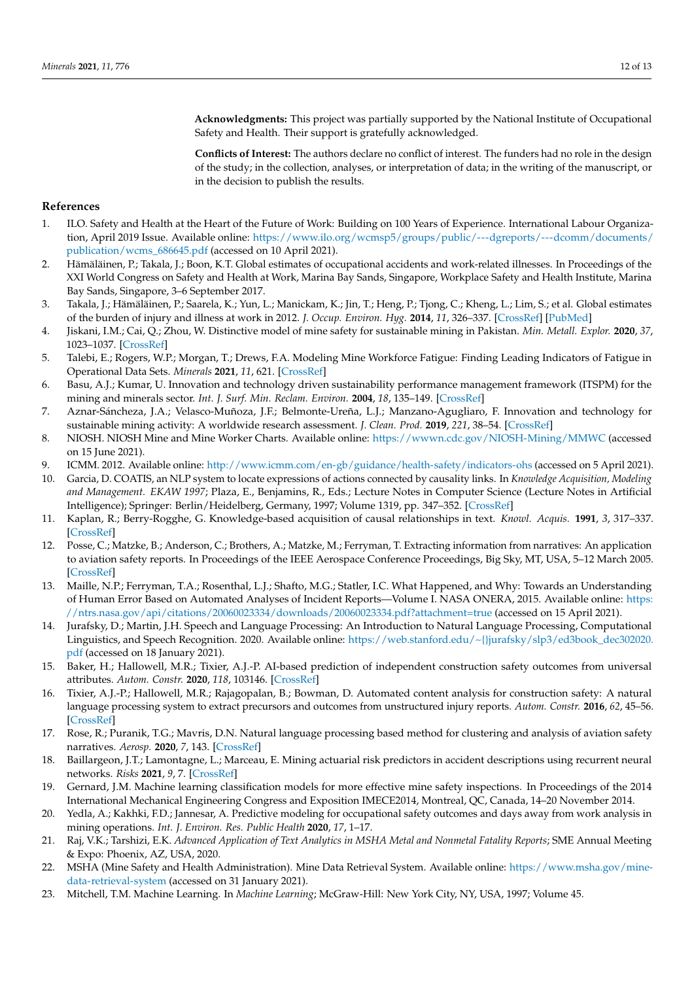**Acknowledgments:** This project was partially supported by the National Institute of Occupational Safety and Health. Their support is gratefully acknowledged.

**Conflicts of Interest:** The authors declare no conflict of interest. The funders had no role in the design of the study; in the collection, analyses, or interpretation of data; in the writing of the manuscript, or in the decision to publish the results.

# **References**

- <span id="page-11-0"></span>1. ILO. Safety and Health at the Heart of the Future of Work: Building on 100 Years of Experience. International Labour Organization, April 2019 Issue. Available online: [https://www.ilo.org/wcmsp5/groups/public/---dgreports/---dcomm/documents/](https://www.ilo.org/wcmsp5/groups/public/---dgreports/---dcomm/documents/publication/wcms_686645.pdf) [publication/wcms\\_686645.pdf](https://www.ilo.org/wcmsp5/groups/public/---dgreports/---dcomm/documents/publication/wcms_686645.pdf) (accessed on 10 April 2021).
- <span id="page-11-1"></span>2. Hämäläinen, P.; Takala, J.; Boon, K.T. Global estimates of occupational accidents and work-related illnesses. In Proceedings of the XXI World Congress on Safety and Health at Work, Marina Bay Sands, Singapore, Workplace Safety and Health Institute, Marina Bay Sands, Singapore, 3–6 September 2017.
- <span id="page-11-2"></span>3. Takala, J.; Hämäläinen, P.; Saarela, K.; Yun, L.; Manickam, K.; Jin, T.; Heng, P.; Tjong, C.; Kheng, L.; Lim, S.; et al. Global estimates of the burden of injury and illness at work in 2012. *J. Occup. Environ. Hyg.* **2014**, *11*, 326–337. [\[CrossRef\]](http://doi.org/10.1080/15459624.2013.863131) [\[PubMed\]](http://www.ncbi.nlm.nih.gov/pubmed/24219404)
- <span id="page-11-3"></span>4. Jiskani, I.M.; Cai, Q.; Zhou, W. Distinctive model of mine safety for sustainable mining in Pakistan. *Min. Metall. Explor.* **2020**, *37*, 1023–1037. [\[CrossRef\]](http://doi.org/10.1007/s42461-020-00207-8)
- <span id="page-11-4"></span>5. Talebi, E.; Rogers, W.P.; Morgan, T.; Drews, F.A. Modeling Mine Workforce Fatigue: Finding Leading Indicators of Fatigue in Operational Data Sets. *Minerals* **2021**, *11*, 621. [\[CrossRef\]](http://doi.org/10.3390/min11060621)
- <span id="page-11-5"></span>6. Basu, A.J.; Kumar, U. Innovation and technology driven sustainability performance management framework (ITSPM) for the mining and minerals sector. *Int. J. Surf. Min. Reclam. Environ.* **2004**, *18*, 135–149. [\[CrossRef\]](http://doi.org/10.1080/13895260412331295394)
- <span id="page-11-6"></span>7. Aznar-Sáncheza, J.A.; Velasco-Muñoza, J.F.; Belmonte-Ureña, L.J.; Manzano-Agugliaro, F. Innovation and technology for sustainable mining activity: A worldwide research assessment. *J. Clean. Prod.* **2019**, *221*, 38–54. [\[CrossRef\]](http://doi.org/10.1016/j.jclepro.2019.02.243)
- <span id="page-11-7"></span>8. NIOSH. NIOSH Mine and Mine Worker Charts. Available online: <https://wwwn.cdc.gov/NIOSH-Mining/MMWC> (accessed on 15 June 2021).
- <span id="page-11-8"></span>9. ICMM. 2012. Available online: <http://www.icmm.com/en-gb/guidance/health-safety/indicators-ohs> (accessed on 5 April 2021).
- <span id="page-11-9"></span>10. Garcia, D. COATIS, an NLP system to locate expressions of actions connected by causality links. In *Knowledge Acquisition, Modeling and Management. EKAW 1997*; Plaza, E., Benjamins, R., Eds.; Lecture Notes in Computer Science (Lecture Notes in Artificial Intelligence); Springer: Berlin/Heidelberg, Germany, 1997; Volume 1319, pp. 347–352. [\[CrossRef\]](http://doi.org/10.1007/BFb0026799)
- <span id="page-11-10"></span>11. Kaplan, R.; Berry-Rogghe, G. Knowledge-based acquisition of causal relationships in text. *Knowl. Acquis.* **1991**, *3*, 317–337. [\[CrossRef\]](http://doi.org/10.1016/1042-8143(91)90009-C)
- <span id="page-11-11"></span>12. Posse, C.; Matzke, B.; Anderson, C.; Brothers, A.; Matzke, M.; Ferryman, T. Extracting information from narratives: An application to aviation safety reports. In Proceedings of the IEEE Aerospace Conference Proceedings, Big Sky, MT, USA, 5–12 March 2005. [\[CrossRef\]](http://doi.org/10.1109/AERO.2005.1559673)
- <span id="page-11-12"></span>13. Maille, N.P.; Ferryman, T.A.; Rosenthal, L.J.; Shafto, M.G.; Statler, I.C. What Happened, and Why: Towards an Understanding of Human Error Based on Automated Analyses of Incident Reports—Volume I. NASA ONERA, 2015. Available online: [https:](https://ntrs.nasa.gov/api/citations/20060023334/downloads/20060023334.pdf?attachment=true) [//ntrs.nasa.gov/api/citations/20060023334/downloads/20060023334.pdf?attachment=true](https://ntrs.nasa.gov/api/citations/20060023334/downloads/20060023334.pdf?attachment=true) (accessed on 15 April 2021).
- <span id="page-11-13"></span>14. Jurafsky, D.; Martin, J.H. Speech and Language Processing: An Introduction to Natural Language Processing, Computational Linguistics, and Speech Recognition. 2020. Available online: [https://web.stanford.edu/~{}jurafsky/slp3/ed3book\\_dec302020.](https://web.stanford.edu/~{}jurafsky/slp3/ed3book_dec302020.pdf) [pdf](https://web.stanford.edu/~{}jurafsky/slp3/ed3book_dec302020.pdf) (accessed on 18 January 2021).
- <span id="page-11-14"></span>15. Baker, H.; Hallowell, M.R.; Tixier, A.J.-P. AI-based prediction of independent construction safety outcomes from universal attributes. *Autom. Constr.* **2020**, *118*, 103146. [\[CrossRef\]](http://doi.org/10.1016/j.autcon.2020.103146)
- <span id="page-11-15"></span>16. Tixier, A.J.-P.; Hallowell, M.R.; Rajagopalan, B.; Bowman, D. Automated content analysis for construction safety: A natural language processing system to extract precursors and outcomes from unstructured injury reports. *Autom. Constr.* **2016**, *62*, 45–56. [\[CrossRef\]](http://doi.org/10.1016/j.autcon.2015.11.001)
- <span id="page-11-16"></span>17. Rose, R.; Puranik, T.G.; Mavris, D.N. Natural language processing based method for clustering and analysis of aviation safety narratives. *Aerosp.* **2020**, *7*, 143. [\[CrossRef\]](http://doi.org/10.3390/aerospace7100143)
- <span id="page-11-17"></span>18. Baillargeon, J.T.; Lamontagne, L.; Marceau, E. Mining actuarial risk predictors in accident descriptions using recurrent neural networks. *Risks* **2021**, *9*, 7. [\[CrossRef\]](http://doi.org/10.3390/risks9010007)
- <span id="page-11-18"></span>19. Gernard, J.M. Machine learning classification models for more effective mine safety inspections. In Proceedings of the 2014 International Mechanical Engineering Congress and Exposition IMECE2014, Montreal, QC, Canada, 14–20 November 2014.
- <span id="page-11-19"></span>20. Yedla, A.; Kakhki, F.D.; Jannesar, A. Predictive modeling for occupational safety outcomes and days away from work analysis in mining operations. *Int. J. Environ. Res. Public Health* **2020**, *17*, 1–17.
- <span id="page-11-20"></span>21. Raj, V.K.; Tarshizi, E.K. *Advanced Application of Text Analytics in MSHA Metal and Nonmetal Fatality Reports*; SME Annual Meeting & Expo: Phoenix, AZ, USA, 2020.
- <span id="page-11-21"></span>22. MSHA (Mine Safety and Health Administration). Mine Data Retrieval System. Available online: [https://www.msha.gov/mine](https://www.msha.gov/mine-data-retrieval-system)[data-retrieval-system](https://www.msha.gov/mine-data-retrieval-system) (accessed on 31 January 2021).
- <span id="page-11-22"></span>23. Mitchell, T.M. Machine Learning. In *Machine Learning*; McGraw-Hill: New York City, NY, USA, 1997; Volume 45.